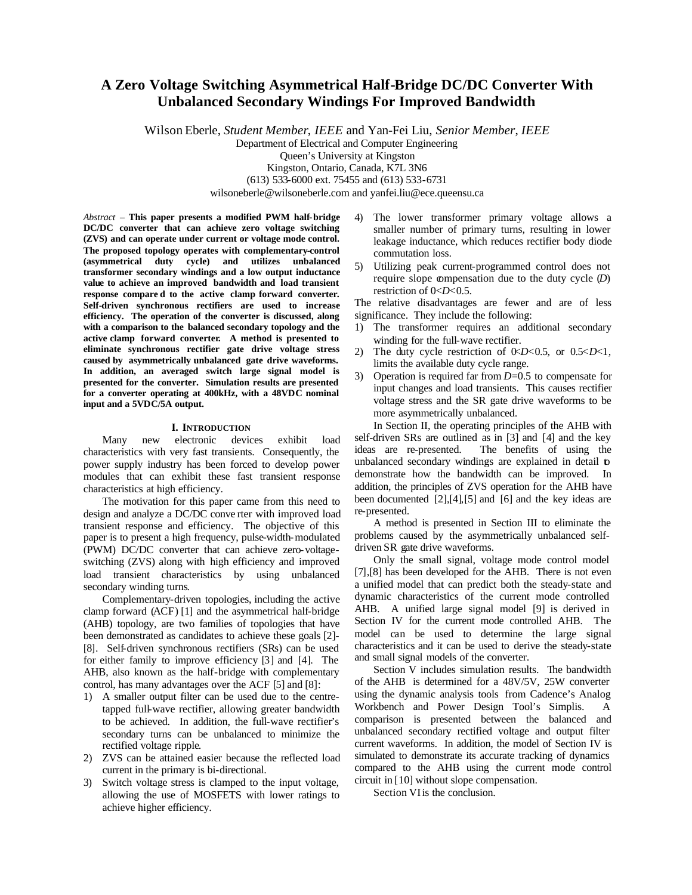# **A Zero Voltage Switching Asymmetrical Half-Bridge DC/DC Converter With Unbalanced Secondary Windings For Improved Bandwidth**

Wilson Eberle, *Student Member*, *IEEE* and Yan-Fei Liu, *Senior Member*, *IEEE*

Department of Electrical and Computer Engineering

Queen's University at Kingston

Kingston, Ontario, Canada, K7L 3N6

(613) 533-6000 ext. 75455 and (613) 533-6731

wilsoneberle@wilsoneberle.com and yanfei.liu@ece.queensu.ca

*Abstract –* **This paper presents a modified PWM half-bridge DC/DC converter that can achieve zero voltage switching (ZVS) and can operate under current or voltage mode control. The proposed topology operates with complementary-control (asymmetrical duty cycle) and utilizes unbalanced transformer secondary windings and a low output inductance value to achieve an improved bandwidth and load transient response compare d to the active clamp forward converter. Self-driven synchronous rectifiers are used to increase efficiency. The operation of the converter is discussed, along with a comparison to the balanced secondary topology and the active clamp forward converter. A method is presented to eliminate synchronous rectifier gate drive voltage stress caused by asymmetrically unbalanced gate drive waveforms. In addition, an averaged switch large signal model is presented for the converter. Simulation results are presented for a converter operating at 400kHz, with a 48VDC nominal input and a 5VDC/5A output.**

### **I. INTRODUCTION**

Many new electronic devices exhibit load characteristics with very fast transients. Consequently, the power supply industry has been forced to develop power modules that can exhibit these fast transient response characteristics at high efficiency.

The motivation for this paper came from this need to design and analyze a DC/DC conve rter with improved load transient response and efficiency. The objective of this paper is to present a high frequency, pulse-width-modulated (PWM) DC/DC converter that can achieve zero-voltageswitching (ZVS) along with high efficiency and improved load transient characteristics by using unbalanced secondary winding turns.

Complementary-driven topologies, including the active clamp forward (ACF) [1] and the asymmetrical half-bridge (AHB) topology, are two families of topologies that have been demonstrated as candidates to achieve these goals [2]- [8]. Self-driven synchronous rectifiers (SRs) can be used for either family to improve efficiency [3] and [4]. The AHB, also known as the half-bridge with complementary control, has many advantages over the ACF [5] and [8]:

- 1) A smaller output filter can be used due to the centretapped full-wave rectifier, allowing greater bandwidth to be achieved. In addition, the full-wave rectifier's secondary turns can be unbalanced to minimize the rectified voltage ripple.
- 2) ZVS can be attained easier because the reflected load current in the primary is bi-directional.
- 3) Switch voltage stress is clamped to the input voltage, allowing the use of MOSFETS with lower ratings to achieve higher efficiency.
- 4) The lower transformer primary voltage allows a smaller number of primary turns, resulting in lower leakage inductance, which reduces rectifier body diode commutation loss.
- 5) Utilizing peak current-programmed control does not require slope compensation due to the duty cycle (*D*) restriction of 0<*D*<0.5.

The relative disadvantages are fewer and are of less significance. They include the following:

- 1) The transformer requires an additional secondary winding for the full-wave rectifier.
- 2) The duty cycle restriction of  $0 \angle D \angle 0.5$ , or  $0.5 \angle D \angle 1$ , limits the available duty cycle range.
- 3) Operation is required far from *D*=0.5 to compensate for input changes and load transients. This causes rectifier voltage stress and the SR gate drive waveforms to be more asymmetrically unbalanced.

In Section II, the operating principles of the AHB with self-driven SRs are outlined as in [3] and [4] and the key ideas are re-presented. The benefits of using the unbalanced secondary windings are explained in detail to demonstrate how the bandwidth can be improved. In addition, the principles of ZVS operation for the AHB have been documented [2],[4],[5] and [6] and the key ideas are re-presented.

A method is presented in Section III to eliminate the problems caused by the asymmetrically unbalanced selfdriven SR gate drive waveforms.

Only the small signal, voltage mode control model [7],[8] has been developed for the AHB. There is not even a unified model that can predict both the steady-state and dynamic characteristics of the current mode controlled AHB. A unified large signal model [9] is derived in Section IV for the current mode controlled AHB. The model can be used to determine the large signal characteristics and it can be used to derive the steady-state and small signal models of the converter.

Section V includes simulation results. The bandwidth of the AHB is determined for a 48V/5V, 25W converter using the dynamic analysis tools from Cadence's Analog Workbench and Power Design Tool's Simplis. A comparison is presented between the balanced and unbalanced secondary rectified voltage and output filter current waveforms. In addition, the model of Section IV is simulated to demonstrate its accurate tracking of dynamics compared to the AHB using the current mode control circuit in [10] without slope compensation.

Section VI is the conclusion.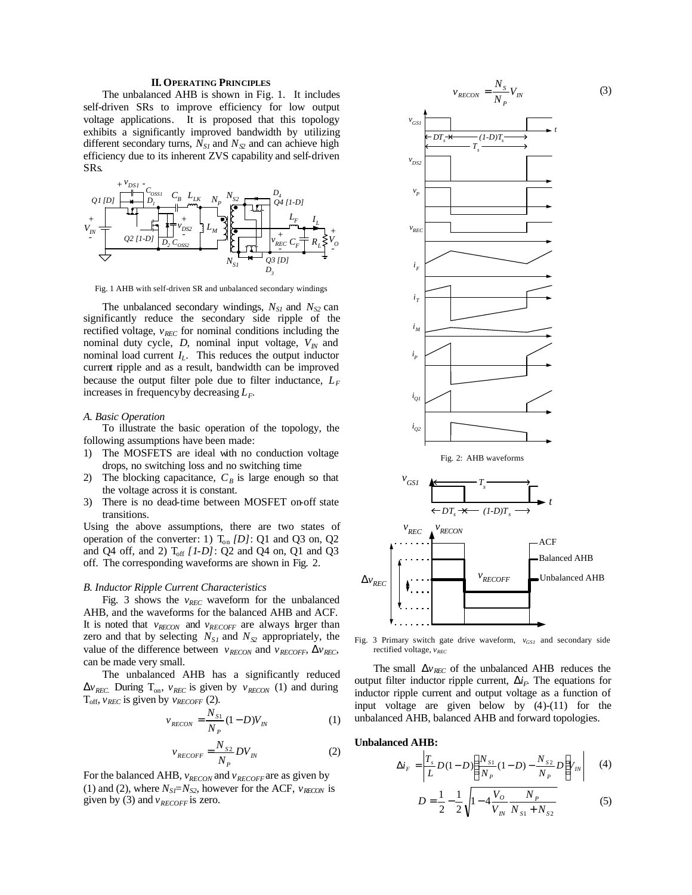#### **II. OPERATING PRINCIPLES**

The unbalanced AHB is shown in Fig. 1. It includes self-driven SRs to improve efficiency for low output voltage applications. It is proposed that this topology exhibits a significantly improved bandwidth by utilizing different secondary turns,  $N_{SI}$  and  $N_{\mathcal{D}}$  and can achieve high efficiency due to its inherent ZVS capability and self-driven SRs.



Fig. 1 AHB with self-driven SR and unbalanced secondary windings

The unbalanced secondary windings,  $N_{SI}$  and  $N_{S2}$  can significantly reduce the secondary side ripple of the rectified voltage,  $v_{REC}$  for nominal conditions including the nominal duty cycle, *D*, nominal input voltage, *VIN* and nominal load current *I<sup>L</sup>* . This reduces the output inductor current ripple and as a result, bandwidth can be improved because the output filter pole due to filter inductance, *L<sup>F</sup>* increases in frequency by decreasing *LF*.

#### *A. Basic Operation*

To illustrate the basic operation of the topology, the following assumptions have been made:

- 1) The MOSFETS are ideal with no conduction voltage drops, no switching loss and no switching time
- 2) The blocking capacitance,  $C_B$  is large enough so that the voltage across it is constant.
- 3) There is no dead-time between MOSFET on-off state transitions.

Using the above assumptions, there are two states of operation of the converter: 1)  $T_{on}$  *[D]*: Q1 and Q3 on, Q2 and Q4 off, and 2) T<sub>off</sub> [1-D]: Q2 and Q4 on, Q1 and Q3 off. The corresponding waveforms are shown in Fig. 2.

#### *B. Inductor Ripple Current Characteristics*

Fig. 3 shows the  $v_{REC}$  waveform for the unbalanced AHB, and the waveforms for the balanced AHB and ACF. It is noted that  $v_{RECON}$  and  $v_{RECOFF}$  are always larger than zero and that by selecting  $N_{SI}$  and  $N_{SI}$  appropriately, the value of the difference between  $v_{RECON}$  and  $v_{RECOFF}$ ,  $\Delta v_{REC}$ , can be made very small.

The unbalanced AHB has a significantly reduced  $\Delta v_{REC}$ . During T<sub>on</sub>,  $v_{REC}$  is given by  $v_{RECON}$  (1) and during  $T_{\text{off}}$ ,  $v_{\text{REC}}$  is given by  $v_{\text{RECOFF}}$  (2).

$$
v_{RECON} = \frac{N_{S1}}{N_P} (1 - D) V_{IN}
$$
 (1)

$$
v_{RECOFF} = \frac{N_{S2}}{N_P} DV_{I\!N}
$$
 (2)

For the balanced AHB, *vRECON* and *vRECOFF* are as given by (1) and (2), where  $N_{S} = N_{S2}$ , however for the ACF,  $v_{RECON}$  is given by (3) and  $v_{RECOFF}$  is zero.



Fig. 3 Primary switch gate drive waveform,  $v_{GSI}$  and secondary side rectified voltage, *vREC*

The small  $\Delta v_{REC}$  of the unbalanced AHB reduces the output filter inductor ripple current, Δ*iF*. The equations for inductor ripple current and output voltage as a function of input voltage are given below by (4)-(11) for the unbalanced AHB, balanced AHB and forward topologies.

#### **Unbalanced AHB:**

$$
\Delta i_F = \left| \frac{T_s}{L} D (1 - D) \left( \frac{N_{S1}}{N_P} (1 - D) - \frac{N_{S2}}{N_P} D \right) f_{IN} \right| \tag{4}
$$

$$
D = \frac{1}{2} - \frac{1}{2} \sqrt{1 - 4 \frac{V_o}{V_{IN}} \frac{N_P}{N_{S1} + N_{S2}}} \tag{5}
$$

 $v_{\text{reconv}} = \frac{N_s}{N} V_{\text{rw}}$  (3)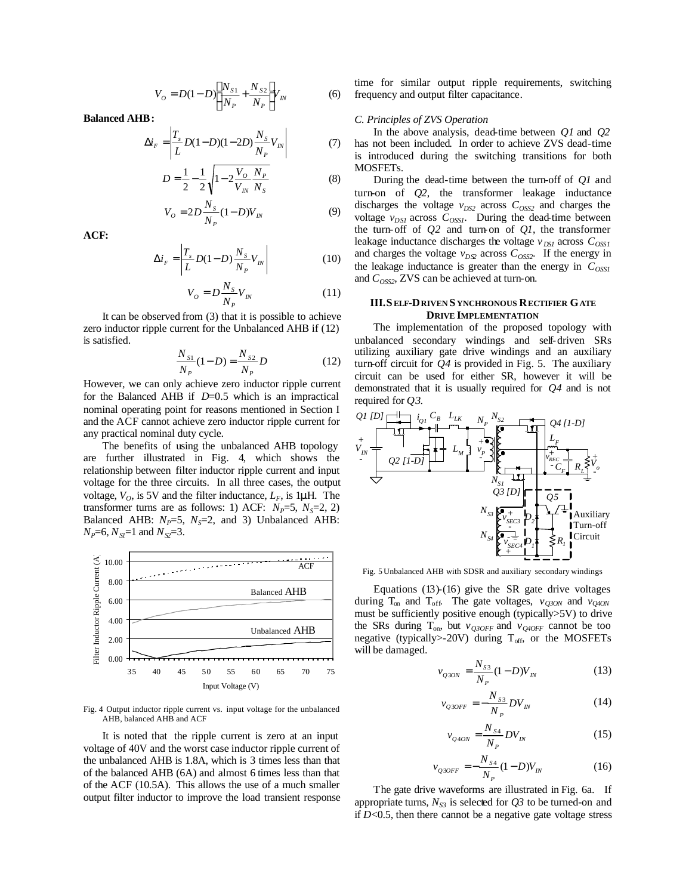$$
V_o = D(1 - D) \left[ \frac{N_{s1}}{N_P} + \frac{N_{s2}}{N_P} \right] V_{IN}
$$
 (6)

**Balanced AHB:**

$$
\Delta i_F = \left| \frac{T_s}{L} D(1 - D)(1 - 2D) \frac{N_s}{N_P} V_{IN} \right| \tag{7}
$$

$$
D = \frac{1}{2} - \frac{1}{2} \sqrt{1 - 2 \frac{V_o}{V_m} \frac{N_p}{N_s}}
$$
 (8)

$$
V_o = 2D \frac{N_s}{N_p} (1 - D) V_w
$$
 (9)

**ACF:**

$$
\Delta i_F = \left| \frac{T_s}{L} D(1 - D) \frac{N_s}{N_p} V_{I N} \right| \tag{10}
$$

$$
V_o = D \frac{N_s}{N_P} V_{I N}
$$
 (11)

It can be observed from (3) that it is possible to achieve zero inductor ripple current for the Unbalanced AHB if (12) is satisfied.

$$
\frac{N_{S1}}{N_P}(1-D) = \frac{N_{S2}}{N_P}D
$$
 (12)

However, we can only achieve zero inductor ripple current for the Balanced AHB if *D*=0.5 which is an impractical nominal operating point for reasons mentioned in Section I and the ACF cannot achieve zero inductor ripple current for any practical nominal duty cycle.

The benefits of using the unbalanced AHB topology are further illustrated in Fig. 4, which shows the relationship between filter inductor ripple current and input voltage for the three circuits. In all three cases, the output voltage,  $V_O$ , is 5V and the filter inductance,  $L_F$ , is 1µH. The transformer turns are as follows: 1) ACF:  $N_P=5$ ,  $N_S=2$ , 2) Balanced AHB:  $N_p=5$ ,  $N_s=2$ , and 3) Unbalanced AHB:  $N_p = 6$ ,  $N_{SI} = 1$  and  $N_{SI} = 3$ .



Fig. 4 Output inductor ripple current vs. input voltage for the unbalanced AHB, balanced AHB and ACF

It is noted that the ripple current is zero at an input voltage of 40V and the worst case inductor ripple current of the unbalanced AHB is 1.8A, which is 3 times less than that of the balanced AHB (6A) and almost 6 times less than that of the ACF (10.5A). This allows the use of a much smaller output filter inductor to improve the load transient response

time for similar output ripple requirements, switching frequency and output filter capacitance.

### *C. Principles of ZVS Operation*

In the above analysis, dead-time between *Q1* and *Q2* has not been included. In order to achieve ZVS dead-time is introduced during the switching transitions for both MOSFETs.

During the dead-time between the turn-off of *Q1* and turn-on of *Q2*, the transformer leakage inductance discharges the voltage  $v_{DS2}$  across  $C_{OSS2}$  and charges the voltage  $v_{DSI}$  across  $C_{OSSI}$ . During the dead-time between the turn-off of *Q2* and turn-on of *Q1*, the transformer leakage inductance discharges the voltage  $v_{DSI}$  across  $C_{OSSI}$ and charges the voltage  $v_{D\mathcal{L}}$  across  $C_{OSS2}$ . If the energy in the leakage inductance is greater than the energy in *COSS1* and *COSS2*, ZVS can be achieved at turn-on.

### **III.S ELF-DRIVEN S YNCHRONOUS RECTIFIER GATE DRIVE IMPLEMENTATION**

The implementation of the proposed topology with unbalanced secondary windings and self-driven SRs utilizing auxiliary gate drive windings and an auxiliary turn-off circuit for *Q4* is provided in Fig. 5. The auxiliary circuit can be used for either SR, however it will be demonstrated that it is usually required for *Q4* and is not required for *Q3*.



Fig. 5 Unbalanced AHB with SDSR and auxiliary secondary windings

Equations  $(13)-(16)$  give the SR gate drive voltages during Ton and Toff. The gate voltages, *vQ3ON* and *vQ4ON* must be sufficiently positive enough (typically>5V) to drive the SRs during  $T_{on}$ , but  $v_{Q3OFF}$  and  $v_{Q4OFF}$  cannot be too negative (typically>-20V) during  $T_{\text{off}}$ , or the MOSFETs will be damaged.

$$
v_{Q3ON} = \frac{N_{S3}}{N_P} (1 - D) V_N \tag{13}
$$

$$
v_{Q3OFF} = -\frac{N_{S3}}{N_P}DV_m
$$
 (14)

$$
v_{Q4ON} = \frac{N_{S4}}{N_P}DV_{IN}
$$
 (15)

$$
v_{Q3OFF} = -\frac{N_{S4}}{N_P}(1 - D)V_{IN}
$$
 (16)

The gate drive waveforms are illustrated in Fig. 6a. If appropriate turns,  $N_{S3}$  is selected for  $Q3$  to be turned-on and if  $D<0.5$ , then there cannot be a negative gate voltage stress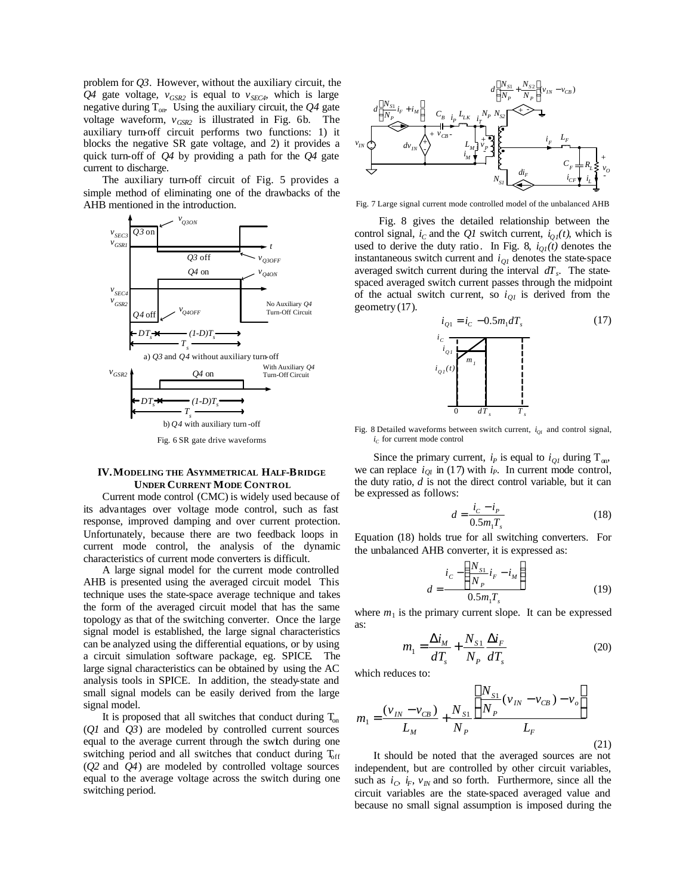problem for *Q3*. However, without the auxiliary circuit, the  $Q4$  gate voltage,  $v_{GSR2}$  is equal to  $v_{SEC4}$ , which is large negative during  $T_{\text{on}}$ . Using the auxiliary circuit, the  $Q_4$  gate voltage waveform, *vGSR2* is illustrated in Fig. 6b. The auxiliary turn-off circuit performs two functions: 1) it blocks the negative SR gate voltage, and 2) it provides a quick turn-off of *Q4* by providing a path for the *Q4* gate current to discharge.

The auxiliary turn-off circuit of Fig. 5 provides a simple method of eliminating one of the drawbacks of the AHB mentioned in the introduction.



### **IV.MODELING THE ASYMMETRICAL HALF-BRIDGE UNDER CURRENT MODE CONTROL**

Current mode control (CMC) is widely used because of its advantages over voltage mode control, such as fast response, improved damping and over current protection. Unfortunately, because there are two feedback loops in current mode control, the analysis of the dynamic characteristics of current mode converters is difficult.

A large signal model for the current mode controlled AHB is presented using the averaged circuit model. This technique uses the state-space average technique and takes the form of the averaged circuit model that has the same topology as that of the switching converter. Once the large signal model is established, the large signal characteristics can be analyzed using the differential equations, or by using a circuit simulation software package, eg. SPICE. The large signal characteristics can be obtained by using the AC analysis tools in SPICE. In addition, the steady-state and small signal models can be easily derived from the large signal model.

It is proposed that all switches that conduct during  $T_{on}$ (*Q1* and *Q3*) are modeled by controlled current sources equal to the average current through the switch during one switching period and all switches that conduct during  $T_{\text{off}}$ (*Q2* and *Q4*) are modeled by controlled voltage sources equal to the average voltage across the switch during one switching period.



Fig. 7 Large signal current mode controlled model of the unbalanced AHB

 Fig. 8 gives the detailed relationship between the control signal,  $i_C$  and the *Q1* switch current,  $i_{O1}(t)$ , which is used to derive the duty ratio. In Fig. 8,  $i_{0}l(t)$  denotes the instantaneous switch current and *iQ1* denotes the state-space averaged switch current during the interval *dT<sup>s</sup>* . The statespaced averaged switch current passes through the midpoint of the actual switch current, so  $i_{QI}$  is derived from the geometry (17).



Fig. 8 Detailed waveforms between switch current,  $i_{0I}$  and control signal, *iC* for current mode control

Since the primary current,  $i<sub>P</sub>$  is equal to  $i<sub>O1</sub>$  during T<sub>on</sub>, we can replace  $i_{QI}$  in (17) with  $i_P$ . In current mode control, the duty ratio, *d* is not the direct control variable, but it can be expressed as follows:

$$
d = \frac{i_c - i_p}{0.5 m_1 T_s}
$$
 (18)

Equation (18) holds true for all switching converters. For the unbalanced AHB converter, it is expressed as:

$$
d = \frac{i_c - \left(\frac{N_{S1}}{N_P} i_F - i_M\right)}{0.5 m_1 T_s}
$$
 (19)

where  $m_1$  is the primary current slope. It can be expressed as:

$$
m_1 = \frac{\Delta i_M}{dT_s} + \frac{N_{S1}}{N_P} \frac{\Delta i_F}{dT_s}
$$
 (20)

which reduces to:

$$
m_1 = \frac{(v_{IN} - v_{CB})}{L_M} + \frac{N_{S1}}{N_P} \frac{\left[ \frac{N_{S1}}{N_P} (v_{IN} - v_{CB}) - v_o \right]}{L_F}
$$
\n(21)

It should be noted that the averaged sources are not independent, but are controlled by other circuit variables, such as  $i_C$ ,  $i_F$ ,  $v_M$  and so forth. Furthermore, since all the circuit variables are the state-spaced averaged value and because no small signal assumption is imposed during the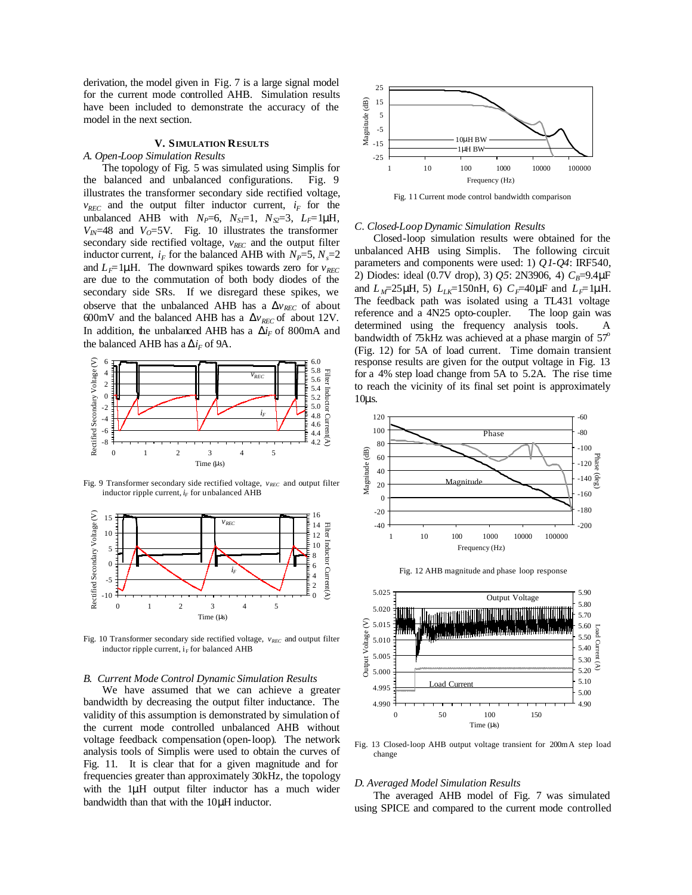derivation, the model given in Fig. 7 is a large signal model for the current mode controlled AHB. Simulation results have been included to demonstrate the accuracy of the model in the next section.

## **V. SIMULATION RESULTS**

# *A. Open-Loop Simulation Results*

# The topology of Fig. 5 was simulated using Simplis for the balanced and unbalanced configurations. Fig. 9 illustrates the transformer secondary side rectified voltage,  $v_{REC}$  and the output filter inductor current,  $i_F$  for the unbalanced AHB with  $N_P=6$ ,  $N_{SI}=1$ ,  $N_{SI}=3$ ,  $L_F=1 \mu H$ ,  $V_{I}$ <sup> $\sim$ </sup> =48 and  $V_{O}$ =5V. Fig. 10 illustrates the transformer secondary side rectified voltage,  $v_{REC}$  and the output filter inductor current,  $i_F$  for the balanced AHB with  $N_P=5$ ,  $N_s=2$ and  $L_F$ =1µH. The downward spikes towards zero for  $v_{REC}$ are due to the commutation of both body diodes of the secondary side SRs. If we disregard these spikes, we observe that the unbalanced AHB has a  $\Delta v_{REC}$  of about 600mV and the balanced AHB has a  $\Delta v_{REC}$  of about 12V. In addition, the unbalanced AHB has a  $\Delta i_F$  of 800mA and the balanced AHB has a  $\Delta i_F$  of 9A.



Fig. 9 Transformer secondary side rectified voltage,  $v_{REC}$  and output filter inductor ripple current,  $i_F$  for unbalanced AHB



Fig. 10 Transformer secondary side rectified voltage,  $v_{REC}$  and output filter inductor ripple current,  $i_F$  for balanced AHB

### *B. Current Mode Control Dynamic Simulation Results*

We have assumed that we can achieve a greater bandwidth by decreasing the output filter inductance. The validity of this assumption is demonstrated by simulation of the current mode controlled unbalanced AHB without voltage feedback compensation (open-loop). The network analysis tools of Simplis were used to obtain the curves of Fig. 11. It is clear that for a given magnitude and for frequencies greater than approximately 30kHz, the topology with the 1μH output filter inductor has a much wider bandwidth than that with the 10μH inductor.



Fig. 11 Current mode control bandwidth comparison

#### *C. Closed-Loop Dynamic Simulation Results*

Closed-loop simulation results were obtained for the unbalanced AHB using Simplis. The following circuit parameters and components were used: 1) *Q1*-*Q4*: IRF540, 2) Diodes: ideal (0.7V drop), 3) *Q5*: 2N3906, 4)  $C_B$ =9.4μF and  $L_M = 25\mu$ H, 5)  $L_{LK} = 150$ nH, 6)  $C_F = 40\mu$ F and  $L_F = 1\mu$ H. The feedback path was isolated using a TL431 voltage reference and a 4N25 opto-coupler. The loop gain was determined using the frequency analysis tools. A bandwidth of  $75kHz$  was achieved at a phase margin of  $57^\circ$ (Fig. 12) for 5A of load current. Time domain transient response results are given for the output voltage in Fig. 13 for a 4% step load change from 5A to 5.2A. The rise time to reach the vicinity of its final set point is approximately 10μs.



Fig. 12 AHB magnitude and phase loop response



Fig. 13 Closed-loop AHB output voltage transient for 200mA step load change

#### *D. Averaged Model Simulation Results*

The averaged AHB model of Fig. 7 was simulated using SPICE and compared to the current mode controlled